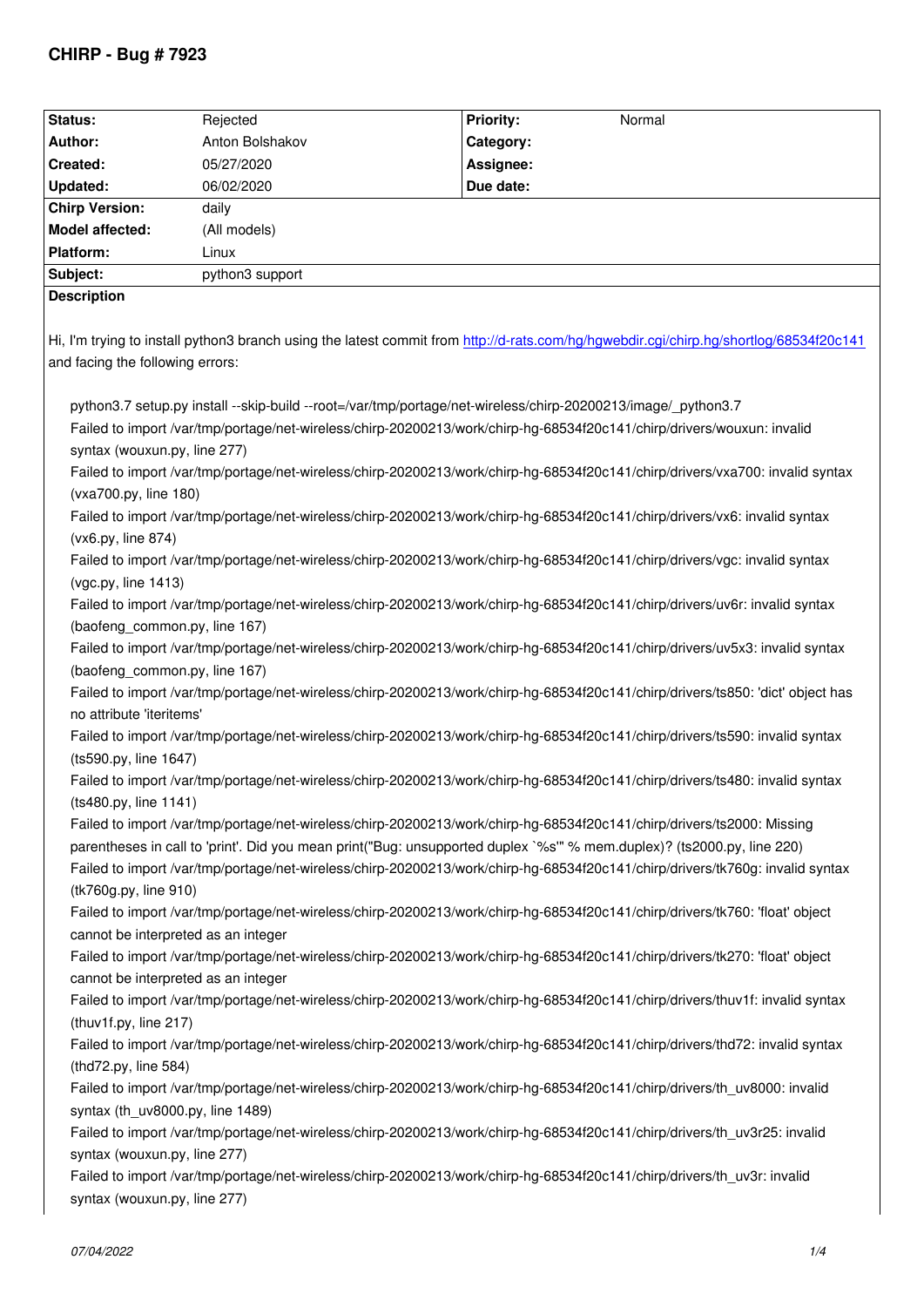| Status:                                                                                                                                | Rejected        | Priority:<br>Normal |  |
|----------------------------------------------------------------------------------------------------------------------------------------|-----------------|---------------------|--|
| Author:                                                                                                                                | Anton Bolshakov | Category:           |  |
| Created:                                                                                                                               | 05/27/2020      | Assignee:           |  |
| <b>Updated:</b>                                                                                                                        | 06/02/2020      | Due date:           |  |
| <b>Chirp Version:</b>                                                                                                                  | daily           |                     |  |
| Model affected:                                                                                                                        | (All models)    |                     |  |
| Platform:                                                                                                                              | Linux           |                     |  |
| Subject:                                                                                                                               | python3 support |                     |  |
| <b>Description</b>                                                                                                                     |                 |                     |  |
|                                                                                                                                        |                 |                     |  |
| Hi, I'm trying to install python3 branch using the latest commit from http://d-rats.com/hg/hgwebdir.cgi/chirp.hg/shortlog/68534f20c141 |                 |                     |  |
| and facing the following errors:                                                                                                       |                 |                     |  |
|                                                                                                                                        |                 |                     |  |
| python3.7 setup.py install --skip-build --root=/var/tmp/portage/net-wireless/chirp-20200213/image/_python3.7                           |                 |                     |  |
| Failed to import /var/tmp/portage/net-wireless/chirp-20200213/work/chirp-hg-68534f20c141/chirp/drivers/wouxun: invalid                 |                 |                     |  |
| syntax (wouxun.py, line 277)                                                                                                           |                 |                     |  |
| Failed to import /var/tmp/portage/net-wireless/chirp-20200213/work/chirp-hg-68534f20c141/chirp/drivers/vxa700: invalid syntax          |                 |                     |  |
| (vxa700.py, line 180)                                                                                                                  |                 |                     |  |
| Failed to import /var/tmp/portage/net-wireless/chirp-20200213/work/chirp-hg-68534f20c141/chirp/drivers/vx6: invalid syntax             |                 |                     |  |
| (vx6.py, line 874)                                                                                                                     |                 |                     |  |
| Failed to import /var/tmp/portage/net-wireless/chirp-20200213/work/chirp-hg-68534f20c141/chirp/drivers/vgc: invalid syntax             |                 |                     |  |
| (vgc.py, line 1413)                                                                                                                    |                 |                     |  |
| Failed to import /var/tmp/portage/net-wireless/chirp-20200213/work/chirp-hg-68534f20c141/chirp/drivers/uv6r: invalid syntax            |                 |                     |  |
| (baofeng_common.py, line 167)                                                                                                          |                 |                     |  |
| Failed to import /var/tmp/portage/net-wireless/chirp-20200213/work/chirp-hg-68534f20c141/chirp/drivers/uv5x3: invalid syntax           |                 |                     |  |
| (baofeng_common.py, line 167)                                                                                                          |                 |                     |  |
| Failed to import /var/tmp/portage/net-wireless/chirp-20200213/work/chirp-hg-68534f20c141/chirp/drivers/ts850: 'dict' object has        |                 |                     |  |
| no attribute 'iteritems'                                                                                                               |                 |                     |  |
| Failed to import /var/tmp/portage/net-wireless/chirp-20200213/work/chirp-hg-68534f20c141/chirp/drivers/ts590: invalid syntax           |                 |                     |  |
| (ts590.py, line 1647)                                                                                                                  |                 |                     |  |
| Failed to import /var/tmp/portage/net-wireless/chirp-20200213/work/chirp-hg-68534f20c141/chirp/drivers/ts480: invalid syntax           |                 |                     |  |
| (ts480.py, line 1141)                                                                                                                  |                 |                     |  |
| Failed to import /var/tmp/portage/net-wireless/chirp-20200213/work/chirp-hg-68534f20c141/chirp/drivers/ts2000: Missing                 |                 |                     |  |
| parentheses in call to 'print'. Did you mean print("Bug: unsupported duplex `%s" % mem.duplex)? (ts2000.py, line 220)                  |                 |                     |  |
| Failed to import /var/tmp/portage/net-wireless/chirp-20200213/work/chirp-hg-68534f20c141/chirp/drivers/tk760g: invalid syntax          |                 |                     |  |
| (tk760g.py, line 910)                                                                                                                  |                 |                     |  |
| Failed to import /var/tmp/portage/net-wireless/chirp-20200213/work/chirp-hg-68534f20c141/chirp/drivers/tk760: 'float' object           |                 |                     |  |
| cannot be interpreted as an integer                                                                                                    |                 |                     |  |
| Failed to import /var/tmp/portage/net-wireless/chirp-20200213/work/chirp-hg-68534f20c141/chirp/drivers/tk270: 'float' object           |                 |                     |  |
| cannot be interpreted as an integer                                                                                                    |                 |                     |  |
| Failed to import /var/tmp/portage/net-wireless/chirp-20200213/work/chirp-hg-68534f20c141/chirp/drivers/thuv1f: invalid syntax          |                 |                     |  |
| (thuv1f.py, line 217)                                                                                                                  |                 |                     |  |
|                                                                                                                                        |                 |                     |  |
| Failed to import /var/tmp/portage/net-wireless/chirp-20200213/work/chirp-hg-68534f20c141/chirp/drivers/thd72: invalid syntax           |                 |                     |  |
| (thd72.py, line 584)                                                                                                                   |                 |                     |  |
| Failed to import /var/tmp/portage/net-wireless/chirp-20200213/work/chirp-hg-68534f20c141/chirp/drivers/th_uv8000: invalid              |                 |                     |  |
| syntax (th_uv8000.py, line 1489)                                                                                                       |                 |                     |  |
| Failed to import /var/tmp/portage/net-wireless/chirp-20200213/work/chirp-hg-68534f20c141/chirp/drivers/th_uv3r25: invalid              |                 |                     |  |
| syntax (wouxun.py, line 277)                                                                                                           |                 |                     |  |
| Failed to import /var/tmp/portage/net-wireless/chirp-20200213/work/chirp-hg-68534f20c141/chirp/drivers/th_uv3r: invalid                |                 |                     |  |
| syntax (wouxun.py, line 277)                                                                                                           |                 |                     |  |
|                                                                                                                                        |                 |                     |  |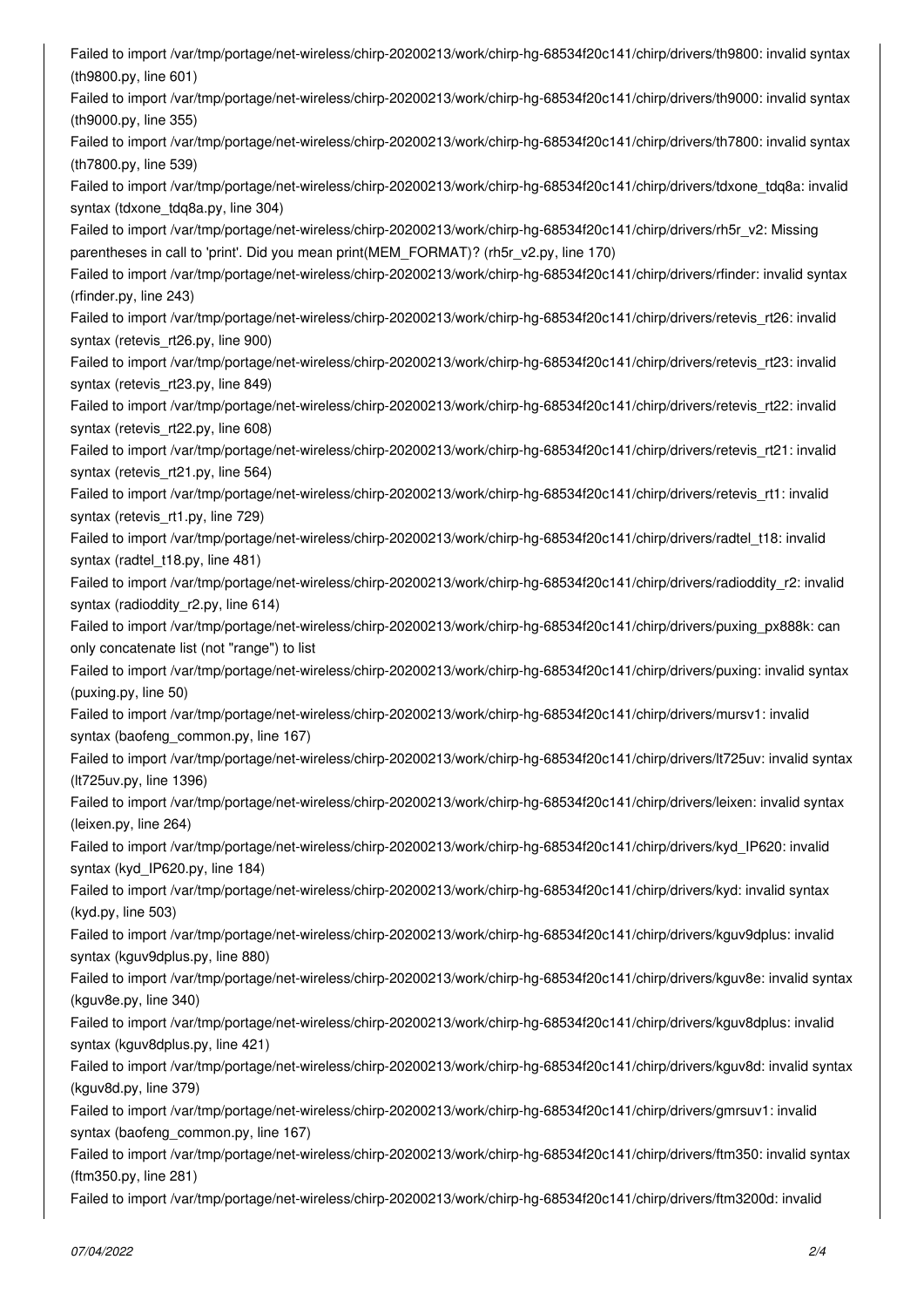*Failed to import /var/tmp/portage/net-wireless/chirp-20200213/work/chirp-hg-68534f20c141/chirp/drivers/th9800: invalid syntax (th9800.py, line 601) Failed to import /var/tmp/portage/net-wireless/chirp-20200213/work/chirp-hg-68534f20c141/chirp/drivers/th9000: invalid syntax (th9000.py, line 355) Failed to import /var/tmp/portage/net-wireless/chirp-20200213/work/chirp-hg-68534f20c141/chirp/drivers/th7800: invalid syntax (th7800.py, line 539) Failed to import /var/tmp/portage/net-wireless/chirp-20200213/work/chirp-hg-68534f20c141/chirp/drivers/tdxone\_tdq8a: invalid syntax (tdxone\_tdq8a.py, line 304) Failed to import /var/tmp/portage/net-wireless/chirp-20200213/work/chirp-hg-68534f20c141/chirp/drivers/rh5r\_v2: Missing parentheses in call to 'print'. Did you mean print(MEM\_FORMAT)? (rh5r\_v2.py, line 170) Failed to import /var/tmp/portage/net-wireless/chirp-20200213/work/chirp-hg-68534f20c141/chirp/drivers/rfinder: invalid syntax (rfinder.py, line 243) Failed to import /var/tmp/portage/net-wireless/chirp-20200213/work/chirp-hg-68534f20c141/chirp/drivers/retevis\_rt26: invalid syntax (retevis\_rt26.py, line 900) Failed to import /var/tmp/portage/net-wireless/chirp-20200213/work/chirp-hg-68534f20c141/chirp/drivers/retevis\_rt23: invalid syntax (retevis\_rt23.py, line 849) Failed to import /var/tmp/portage/net-wireless/chirp-20200213/work/chirp-hg-68534f20c141/chirp/drivers/retevis\_rt22: invalid syntax (retevis\_rt22.py, line 608) Failed to import /var/tmp/portage/net-wireless/chirp-20200213/work/chirp-hg-68534f20c141/chirp/drivers/retevis\_rt21: invalid syntax (retevis\_rt21.py, line 564) Failed to import /var/tmp/portage/net-wireless/chirp-20200213/work/chirp-hg-68534f20c141/chirp/drivers/retevis\_rt1: invalid syntax (retevis\_rt1.py, line 729) Failed to import /var/tmp/portage/net-wireless/chirp-20200213/work/chirp-hg-68534f20c141/chirp/drivers/radtel\_t18: invalid syntax (radtel\_t18.py, line 481) Failed to import /var/tmp/portage/net-wireless/chirp-20200213/work/chirp-hg-68534f20c141/chirp/drivers/radioddity\_r2: invalid syntax (radioddity\_r2.py, line 614) Failed to import /var/tmp/portage/net-wireless/chirp-20200213/work/chirp-hg-68534f20c141/chirp/drivers/puxing\_px888k: can only concatenate list (not "range") to list Failed to import /var/tmp/portage/net-wireless/chirp-20200213/work/chirp-hg-68534f20c141/chirp/drivers/puxing: invalid syntax (puxing.py, line 50) Failed to import /var/tmp/portage/net-wireless/chirp-20200213/work/chirp-hg-68534f20c141/chirp/drivers/mursv1: invalid syntax (baofeng\_common.py, line 167) Failed to import /var/tmp/portage/net-wireless/chirp-20200213/work/chirp-hg-68534f20c141/chirp/drivers/lt725uv: invalid syntax (lt725uv.py, line 1396) Failed to import /var/tmp/portage/net-wireless/chirp-20200213/work/chirp-hg-68534f20c141/chirp/drivers/leixen: invalid syntax (leixen.py, line 264) Failed to import /var/tmp/portage/net-wireless/chirp-20200213/work/chirp-hg-68534f20c141/chirp/drivers/kyd\_IP620: invalid syntax (kyd\_IP620.py, line 184) Failed to import /var/tmp/portage/net-wireless/chirp-20200213/work/chirp-hg-68534f20c141/chirp/drivers/kyd: invalid syntax (kyd.py, line 503) Failed to import /var/tmp/portage/net-wireless/chirp-20200213/work/chirp-hg-68534f20c141/chirp/drivers/kguv9dplus: invalid syntax (kguv9dplus.py, line 880) Failed to import /var/tmp/portage/net-wireless/chirp-20200213/work/chirp-hg-68534f20c141/chirp/drivers/kguv8e: invalid syntax (kguv8e.py, line 340) Failed to import /var/tmp/portage/net-wireless/chirp-20200213/work/chirp-hg-68534f20c141/chirp/drivers/kguv8dplus: invalid syntax (kguv8dplus.py, line 421) Failed to import /var/tmp/portage/net-wireless/chirp-20200213/work/chirp-hg-68534f20c141/chirp/drivers/kguv8d: invalid syntax (kguv8d.py, line 379) Failed to import /var/tmp/portage/net-wireless/chirp-20200213/work/chirp-hg-68534f20c141/chirp/drivers/gmrsuv1: invalid syntax (baofeng\_common.py, line 167) Failed to import /var/tmp/portage/net-wireless/chirp-20200213/work/chirp-hg-68534f20c141/chirp/drivers/ftm350: invalid syntax (ftm350.py, line 281)*